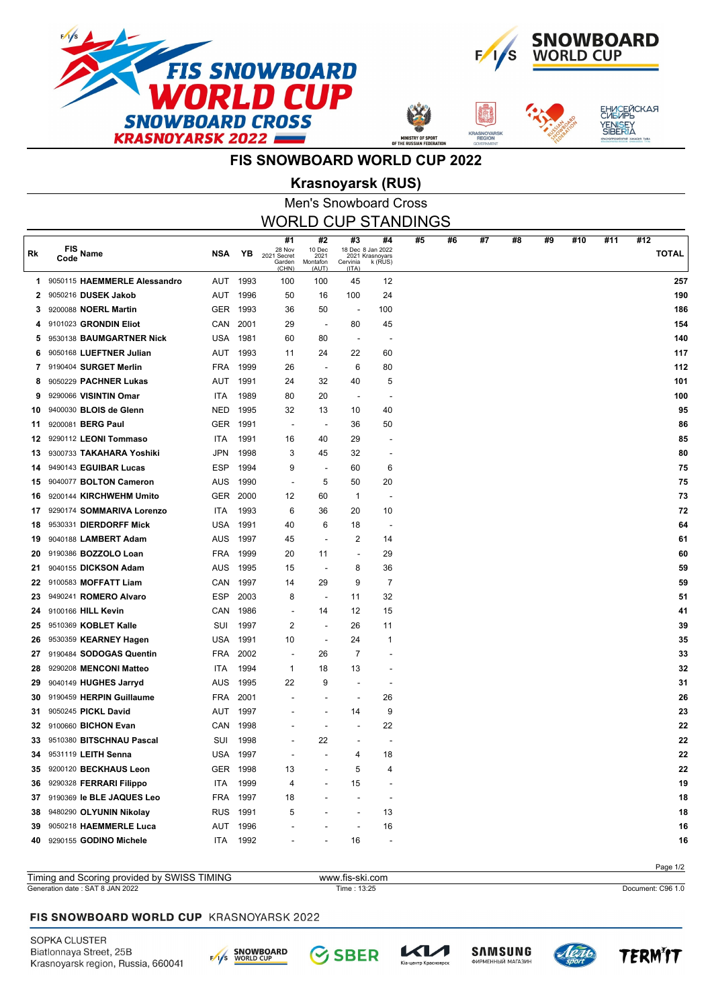



**ASNOYA** 



## **FIS SNOWBOARD WORLD CUP 2022**

## Men's Snowboard Cross **Krasnoyarsk (RUS)**

|    | <b>WORLD CUP STANDINGS</b>   |            |          |                                                |                                           |                                                                 |                          |    |    |    |    |    |     |     |                     |
|----|------------------------------|------------|----------|------------------------------------------------|-------------------------------------------|-----------------------------------------------------------------|--------------------------|----|----|----|----|----|-----|-----|---------------------|
| Rk | FIS<br>Name<br>Code          | <b>NSA</b> | YΒ       | #1<br>28 Nov<br>2021 Secret<br>Garden<br>(CHN) | #2<br>10 Dec<br>2021<br>Montafon<br>(AUT) | #3<br>18 Dec 8 Jan 2022<br>2021 Krasnoyars<br>Cervinia<br>(ITA) | #4<br>k (RUS)            | #5 | #6 | #7 | #8 | #9 | #10 | #11 | #12<br><b>TOTAL</b> |
| 1. | 9050115 HAEMMERLE Alessandro |            | AUT 1993 | 100                                            | 100                                       | 45                                                              | 12                       |    |    |    |    |    |     |     | 257                 |
| 2  | 9050216 DUSEK Jakob          | <b>AUT</b> | 1996     | 50                                             | 16                                        | 100                                                             | 24                       |    |    |    |    |    |     |     | 190                 |
| 3  | 9200088 <b>NOERL Martin</b>  | <b>GER</b> | 1993     | 36                                             | 50                                        | $\overline{\phantom{a}}$                                        | 100                      |    |    |    |    |    |     |     | 186                 |
| 4  | 9101023 GRONDIN Eliot        | CAN        | 2001     | 29                                             | $\overline{\phantom{a}}$                  | 80                                                              | 45                       |    |    |    |    |    |     |     | 154                 |
| 5  | 9530138 BAUMGARTNER Nick     | <b>USA</b> | 1981     | 60                                             | 80                                        | $\overline{\phantom{a}}$                                        |                          |    |    |    |    |    |     |     | 140                 |
| 6  | 9050168 LUEFTNER Julian      | <b>AUT</b> | 1993     | 11                                             | 24                                        | 22                                                              | 60                       |    |    |    |    |    |     |     | 117                 |
| 7  | 9190404 SURGET Merlin        | <b>FRA</b> | 1999     | 26                                             | $\overline{\phantom{a}}$                  | 6                                                               | 80                       |    |    |    |    |    |     |     | 112                 |
| 8  | 9050229 PACHNER Lukas        | <b>AUT</b> | 1991     | 24                                             | 32                                        | 40                                                              | 5                        |    |    |    |    |    |     |     | 101                 |
| 9  | 9290066 VISINTIN Omar        | <b>ITA</b> | 1989     | 80                                             | 20                                        | $\overline{\phantom{a}}$                                        |                          |    |    |    |    |    |     |     | 100                 |
| 10 | 9400030 BLOIS de Glenn       | <b>NED</b> | 1995     | 32                                             | 13                                        | 10                                                              | 40                       |    |    |    |    |    |     |     | 95                  |
| 11 | 9200081 BERG Paul            | <b>GER</b> | 1991     | $\blacksquare$                                 |                                           | 36                                                              | 50                       |    |    |    |    |    |     |     | 86                  |
| 12 | 9290112 LEONI Tommaso        | <b>ITA</b> | 1991     | 16                                             | 40                                        | 29                                                              |                          |    |    |    |    |    |     |     | 85                  |
| 13 | 9300733 TAKAHARA Yoshiki     | <b>JPN</b> | 1998     | 3                                              | 45                                        | 32                                                              |                          |    |    |    |    |    |     |     | 80                  |
| 14 | 9490143 EGUIBAR Lucas        | <b>ESP</b> | 1994     | 9                                              | $\overline{\phantom{a}}$                  | 60                                                              | 6                        |    |    |    |    |    |     |     | 75                  |
| 15 | 9040077 BOLTON Cameron       | <b>AUS</b> | 1990     | $\blacksquare$                                 | 5                                         | 50                                                              | 20                       |    |    |    |    |    |     |     | 75                  |
| 16 | 9200144 KIRCHWEHM Umito      | <b>GER</b> | 2000     | 12                                             | 60                                        | 1                                                               |                          |    |    |    |    |    |     |     | 73                  |
| 17 | 9290174 SOMMARIVA Lorenzo    | <b>ITA</b> | 1993     | 6                                              | 36                                        | 20                                                              | 10                       |    |    |    |    |    |     |     | 72                  |
| 18 | 9530331 DIERDORFF Mick       | <b>USA</b> | 1991     | 40                                             | 6                                         | 18                                                              |                          |    |    |    |    |    |     |     | 64                  |
| 19 | 9040188 LAMBERT Adam         | <b>AUS</b> | 1997     | 45                                             |                                           | 2                                                               | 14                       |    |    |    |    |    |     |     | 61                  |
| 20 | 9190386 BOZZOLO Loan         | <b>FRA</b> | 1999     | 20                                             | 11                                        | $\overline{a}$                                                  | 29                       |    |    |    |    |    |     |     | 60                  |
| 21 | 9040155 DICKSON Adam         | <b>AUS</b> | 1995     | 15                                             |                                           | 8                                                               | 36                       |    |    |    |    |    |     |     | 59                  |
| 22 | 9100583 MOFFATT Liam         | CAN        | 1997     | 14                                             | 29                                        | 9                                                               | $\overline{7}$           |    |    |    |    |    |     |     | 59                  |
| 23 | 9490241 ROMERO Alvaro        | <b>ESP</b> | 2003     | 8                                              | $\overline{\phantom{a}}$                  | 11                                                              | 32                       |    |    |    |    |    |     |     | 51                  |
| 24 | 9100166 HILL Kevin           | CAN        | 1986     | ÷,                                             | 14                                        | 12                                                              | 15                       |    |    |    |    |    |     |     | 41                  |
| 25 | 9510369 KOBLET Kalle         | SUI        | 1997     | 2                                              |                                           | 26                                                              | 11                       |    |    |    |    |    |     |     | 39                  |
| 26 | 9530359 KEARNEY Hagen        | <b>USA</b> | 1991     | 10                                             | $\overline{\phantom{a}}$                  | 24                                                              | 1                        |    |    |    |    |    |     |     | 35                  |
| 27 | 9190484 SODOGAS Quentin      | <b>FRA</b> | 2002     | $\overline{a}$                                 | 26                                        | 7                                                               |                          |    |    |    |    |    |     |     | 33                  |
| 28 | 9290208 MENCONI Matteo       | <b>ITA</b> | 1994     | $\mathbf 1$                                    | 18                                        | 13                                                              |                          |    |    |    |    |    |     |     | 32                  |
| 29 | 9040149 HUGHES Jarryd        | <b>AUS</b> | 1995     | 22                                             | 9                                         | ÷,                                                              |                          |    |    |    |    |    |     |     | 31                  |
| 30 | 9190459 HERPIN Guillaume     | <b>FRA</b> | 2001     |                                                |                                           | ÷,                                                              | 26                       |    |    |    |    |    |     |     | 26                  |
| 31 | 9050245 PICKL David          | AUT        | 1997     |                                                |                                           | 14                                                              | 9                        |    |    |    |    |    |     |     | 23                  |
| 32 | 9100660 BICHON Evan          | CAN        | 1998     |                                                |                                           |                                                                 | 22                       |    |    |    |    |    |     |     | 22                  |
| 33 | 9510380 BITSCHNAU Pascal     | SUI        | 1998     |                                                | 22                                        | ٠                                                               |                          |    |    |    |    |    |     |     | 22                  |
| 34 | 9531119 LEITH Senna          |            | USA 1997 |                                                |                                           | 4                                                               | 18                       |    |    |    |    |    |     |     | 22                  |
| 35 | 9200120 BECKHAUS Leon        | GER        | 1998     | 13                                             |                                           | 5                                                               | 4                        |    |    |    |    |    |     |     | 22                  |
| 36 | 9290328 FERRARI Filippo      | ITA        | 1999     | 4                                              |                                           | 15                                                              |                          |    |    |    |    |    |     |     | 19                  |
| 37 | 9190369 le BLE JAQUES Leo    | <b>FRA</b> | 1997     | 18                                             |                                           | $\overline{a}$                                                  | $\overline{\phantom{a}}$ |    |    |    |    |    |     |     | 18                  |
| 38 | 9480290 OLYUNIN Nikolay      |            | RUS 1991 | 5                                              |                                           | $\overline{a}$                                                  | 13                       |    |    |    |    |    |     |     | 18                  |
| 39 | 9050218 HAEMMERLE Luca       | AUT        | 1996     |                                                |                                           | $\overline{a}$                                                  | 16                       |    |    |    |    |    |     |     | 16                  |
| 40 | 9290155 GODINO Michele       | ITA        | 1992     |                                                |                                           | 16                                                              | $\overline{\phantom{a}}$ |    |    |    |    |    |     |     | 16                  |

Page 1/2 Generation date : SAT 8 JAN 2022 Time : 13:25 Document: C96 1.0 Timing and Scoring provided by SWISS TIMING www.fis-ski.com

#### FIS SNOWBOARD WORLD CUP KRASNOYARSK 2022

SOPKA CLUSTER Biatlonnaya Street, 25B Krasnoyarsk region, Russia, 660041



**SBER** 



レイノ

.<br>тр Красн